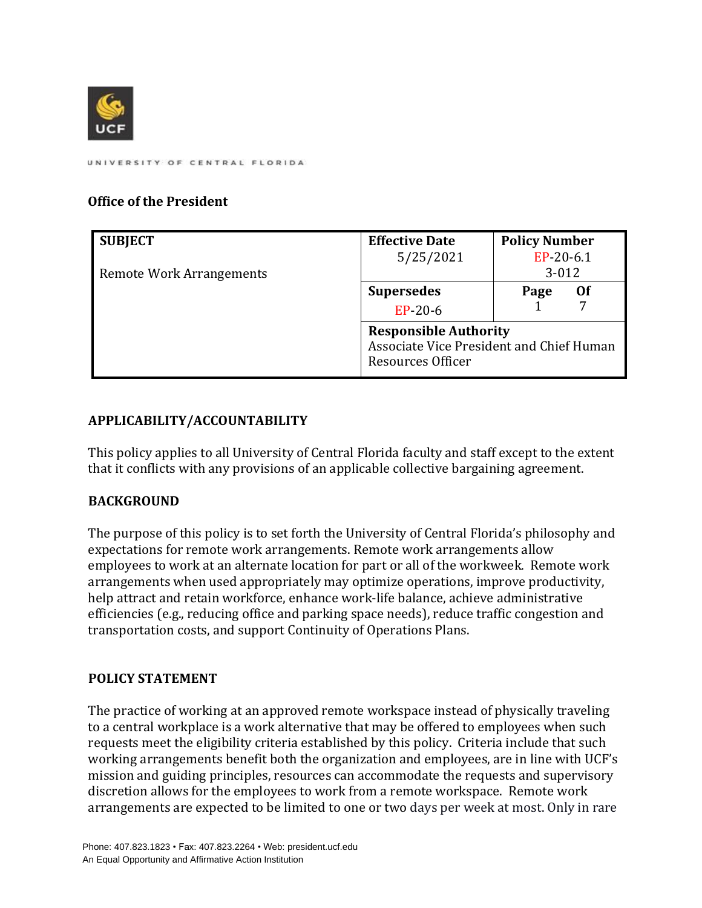

## **Office of the President**

| <b>SUBJECT</b>                  | <b>Effective Date</b>                                                                         | <b>Policy Number</b> |
|---------------------------------|-----------------------------------------------------------------------------------------------|----------------------|
|                                 | 5/25/2021                                                                                     | EP-20-6.1            |
| <b>Remote Work Arrangements</b> |                                                                                               | $3 - 012$            |
|                                 | <b>Supersedes</b>                                                                             | Page<br>Of           |
|                                 | $EP-20-6$                                                                                     |                      |
|                                 | <b>Responsible Authority</b><br>Associate Vice President and Chief Human<br>Resources Officer |                      |

## **APPLICABILITY/ACCOUNTABILITY**

This policy applies to all University of Central Florida faculty and staff except to the extent that it conflicts with any provisions of an applicable collective bargaining agreement.

## **BACKGROUND**

The purpose of this policy is to set forth the University of Central Florida's philosophy and expectations for remote work arrangements. Remote work arrangements allow employees to work at an alternate location for part or all of the workweek. Remote work arrangements when used appropriately may optimize operations, improve productivity, help attract and retain workforce, enhance work-life balance, achieve administrative efficiencies (e.g., reducing office and parking space needs), reduce traffic congestion and transportation costs, and support Continuity of Operations Plans.

## **POLICY STATEMENT**

The practice of working at an approved remote workspace instead of physically traveling to a central workplace is a work alternative that may be offered to employees when such requests meet the eligibility criteria established by this policy. Criteria include that such working arrangements benefit both the organization and employees, are in line with UCF's mission and guiding principles, resources can accommodate the requests and supervisory discretion allows for the employees to work from a remote workspace. Remote work arrangements are expected to be limited to one or two days per week at most. Only in rare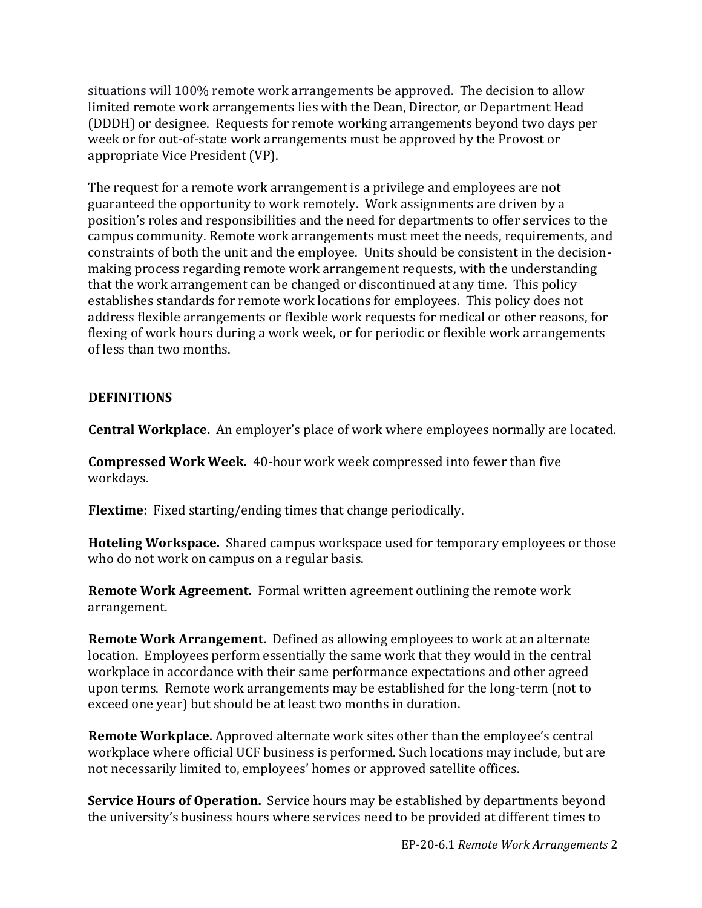situations will 100% remote work arrangements be approved. The decision to allow limited remote work arrangements lies with the Dean, Director, or Department Head (DDDH) or designee. Requests for remote working arrangements beyond two days per week or for out-of-state work arrangements must be approved by the Provost or appropriate Vice President (VP).

The request for a remote work arrangement is a privilege and employees are not guaranteed the opportunity to work remotely. Work assignments are driven by a position's roles and responsibilities and the need for departments to offer services to the campus community. Remote work arrangements must meet the needs, requirements, and constraints of both the unit and the employee. Units should be consistent in the decisionmaking process regarding remote work arrangement requests, with the understanding that the work arrangement can be changed or discontinued at any time. This policy establishes standards for remote work locations for employees. This policy does not address flexible arrangements or flexible work requests for medical or other reasons, for flexing of work hours during a work week, or for periodic or flexible work arrangements of less than two months.

#### **DEFINITIONS**

**Central Workplace.** An employer's place of work where employees normally are located.

**Compressed Work Week.** 40-hour work week compressed into fewer than five workdays.

**Flextime:** Fixed starting/ending times that change periodically.

**Hoteling Workspace.** Shared campus workspace used for temporary employees or those who do not work on campus on a regular basis.

**Remote Work Agreement.** Formal written agreement outlining the remote work arrangement.

**Remote Work Arrangement.** Defined as allowing employees to work at an alternate location. Employees perform essentially the same work that they would in the central workplace in accordance with their same performance expectations and other agreed upon terms. Remote work arrangements may be established for the long-term (not to exceed one year) but should be at least two months in duration.

**Remote Workplace.** Approved alternate work sites other than the employee's central workplace where official UCF business is performed. Such locations may include, but are not necessarily limited to, employees' homes or approved satellite offices.

**Service Hours of Operation.** Service hours may be established by departments beyond the university's business hours where services need to be provided at different times to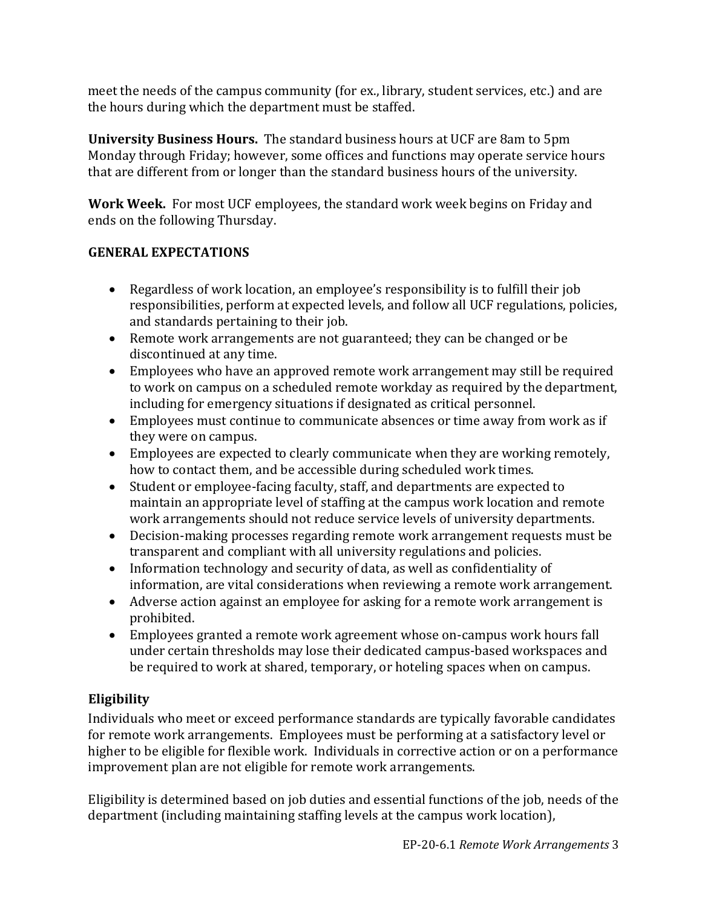meet the needs of the campus community (for ex., library, student services, etc.) and are the hours during which the department must be staffed.

**University Business Hours.** The standard business hours at UCF are 8am to 5pm Monday through Friday; however, some offices and functions may operate service hours that are different from or longer than the standard business hours of the university.

**Work Week.** For most UCF employees, the standard work week begins on Friday and ends on the following Thursday.

## **GENERAL EXPECTATIONS**

- Regardless of work location, an employee's responsibility is to fulfill their job responsibilities, perform at expected levels, and follow all UCF regulations, policies, and standards pertaining to their job.
- Remote work arrangements are not guaranteed; they can be changed or be discontinued at any time.
- Employees who have an approved remote work arrangement may still be required to work on campus on a scheduled remote workday as required by the department, including for emergency situations if designated as critical personnel.
- Employees must continue to communicate absences or time away from work as if they were on campus.
- Employees are expected to clearly communicate when they are working remotely, how to contact them, and be accessible during scheduled work times.
- Student or employee-facing faculty, staff, and departments are expected to maintain an appropriate level of staffing at the campus work location and remote work arrangements should not reduce service levels of university departments.
- Decision-making processes regarding remote work arrangement requests must be transparent and compliant with all university regulations and policies.
- Information technology and security of data, as well as confidentiality of information, are vital considerations when reviewing a remote work arrangement.
- Adverse action against an employee for asking for a remote work arrangement is prohibited.
- Employees granted a remote work agreement whose on-campus work hours fall under certain thresholds may lose their dedicated campus-based workspaces and be required to work at shared, temporary, or hoteling spaces when on campus.

# **Eligibility**

Individuals who meet or exceed performance standards are typically favorable candidates for remote work arrangements. Employees must be performing at a satisfactory level or higher to be eligible for flexible work. Individuals in corrective action or on a performance improvement plan are not eligible for remote work arrangements.

Eligibility is determined based on job duties and essential functions of the job, needs of the department (including maintaining staffing levels at the campus work location),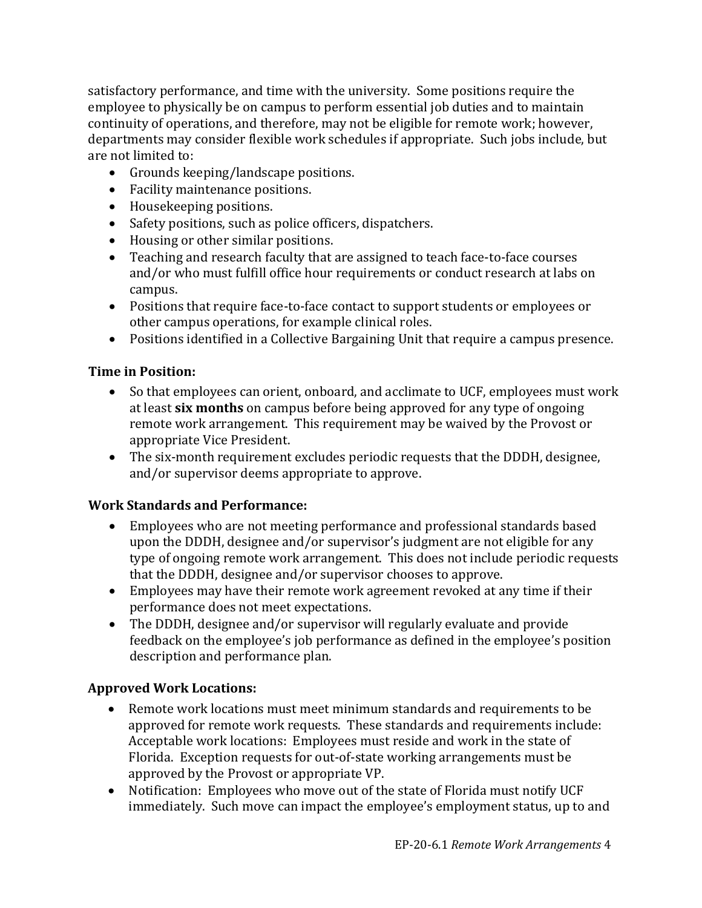satisfactory performance, and time with the university. Some positions require the employee to physically be on campus to perform essential job duties and to maintain continuity of operations, and therefore, may not be eligible for remote work; however, departments may consider flexible work schedules if appropriate. Such jobs include, but are not limited to:

- Grounds keeping/landscape positions.
- Facility maintenance positions.
- Housekeeping positions.
- Safety positions, such as police officers, dispatchers.
- Housing or other similar positions.
- Teaching and research faculty that are assigned to teach face-to-face courses and/or who must fulfill office hour requirements or conduct research at labs on campus.
- Positions that require face-to-face contact to support students or employees or other campus operations, for example clinical roles.
- Positions identified in a Collective Bargaining Unit that require a campus presence.

# **Time in Position:**

- So that employees can orient, onboard, and acclimate to UCF, employees must work at least **six months** on campus before being approved for any type of ongoing remote work arrangement. This requirement may be waived by the Provost or appropriate Vice President.
- The six-month requirement excludes periodic requests that the DDDH, designee, and/or supervisor deems appropriate to approve.

# **Work Standards and Performance:**

- Employees who are not meeting performance and professional standards based upon the DDDH, designee and/or supervisor's judgment are not eligible for any type of ongoing remote work arrangement. This does not include periodic requests that the DDDH, designee and/or supervisor chooses to approve.
- Employees may have their remote work agreement revoked at any time if their performance does not meet expectations.
- The DDDH, designee and/or supervisor will regularly evaluate and provide feedback on the employee's job performance as defined in the employee's position description and performance plan.

# **Approved Work Locations:**

- Remote work locations must meet minimum standards and requirements to be approved for remote work requests. These standards and requirements include: Acceptable work locations: Employees must reside and work in the state of Florida. Exception requests for out-of-state working arrangements must be approved by the Provost or appropriate VP.
- Notification: Employees who move out of the state of Florida must notify UCF immediately. Such move can impact the employee's employment status, up to and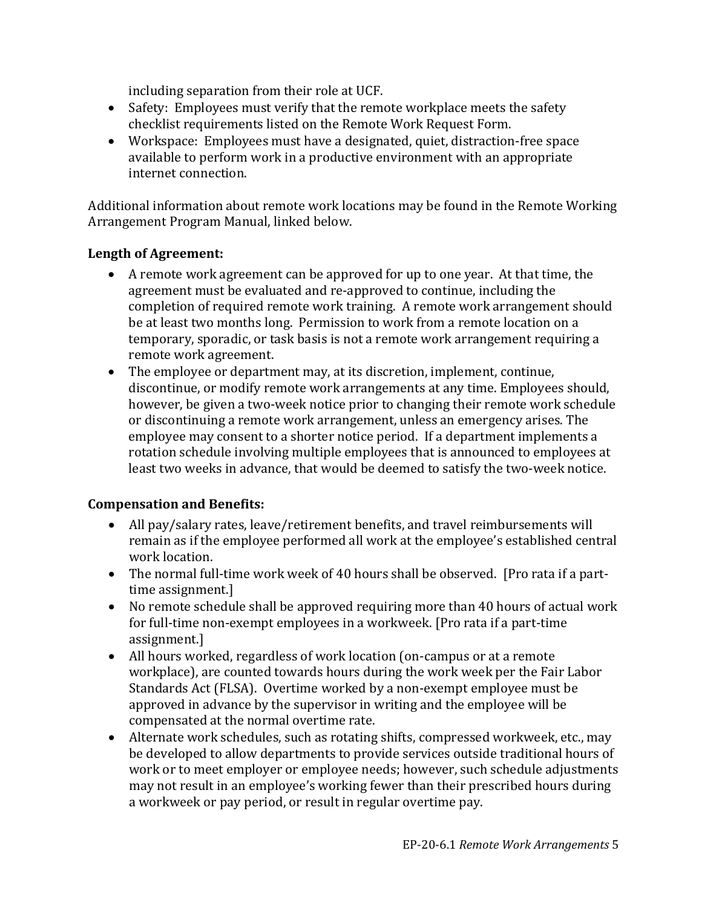including separation from their role at UCF.

- Safety: Employees must verify that the remote workplace meets the safety checklist requirements listed on the Remote Work Request Form.
- Workspace: Employees must have a designated, quiet, distraction-free space available to perform work in a productive environment with an appropriate internet connection.

Additional information about remote work locations may be found in the Remote Working Arrangement Program Manual, linked below.

#### **Length of Agreement:**

- A remote work agreement can be approved for up to one year. At that time, the agreement must be evaluated and re-approved to continue, including the completion of required remote work training. A remote work arrangement should be at least two months long. Permission to work from a remote location on a temporary, sporadic, or task basis is not a remote work arrangement requiring a remote work agreement.
- The employee or department may, at its discretion, implement, continue, discontinue, or modify remote work arrangements at any time. Employees should, however, be given a two-week notice prior to changing their remote work schedule or discontinuing a remote work arrangement, unless an emergency arises. The employee may consent to a shorter notice period. If a department implements a rotation schedule involving multiple employees that is announced to employees at least two weeks in advance, that would be deemed to satisfy the two-week notice.

#### **Compensation and Benefits:**

- All pay/salary rates, leave/retirement benefits, and travel reimbursements will remain as if the employee performed all work at the employee's established central work location.
- The normal full-time work week of 40 hours shall be observed. [Pro rata if a parttime assignment.]
- No remote schedule shall be approved requiring more than 40 hours of actual work for full-time non-exempt employees in a workweek. [Pro rata if a part-time assignment.]
- All hours worked, regardless of work location (on-campus or at a remote workplace), are counted towards hours during the work week per the Fair Labor Standards Act (FLSA). Overtime worked by a non-exempt employee must be approved in advance by the supervisor in writing and the employee will be compensated at the normal overtime rate.
- Alternate work schedules, such as rotating shifts, compressed workweek, etc., may be developed to allow departments to provide services outside traditional hours of work or to meet employer or employee needs; however, such schedule adjustments may not result in an employee's working fewer than their prescribed hours during a workweek or pay period, or result in regular overtime pay.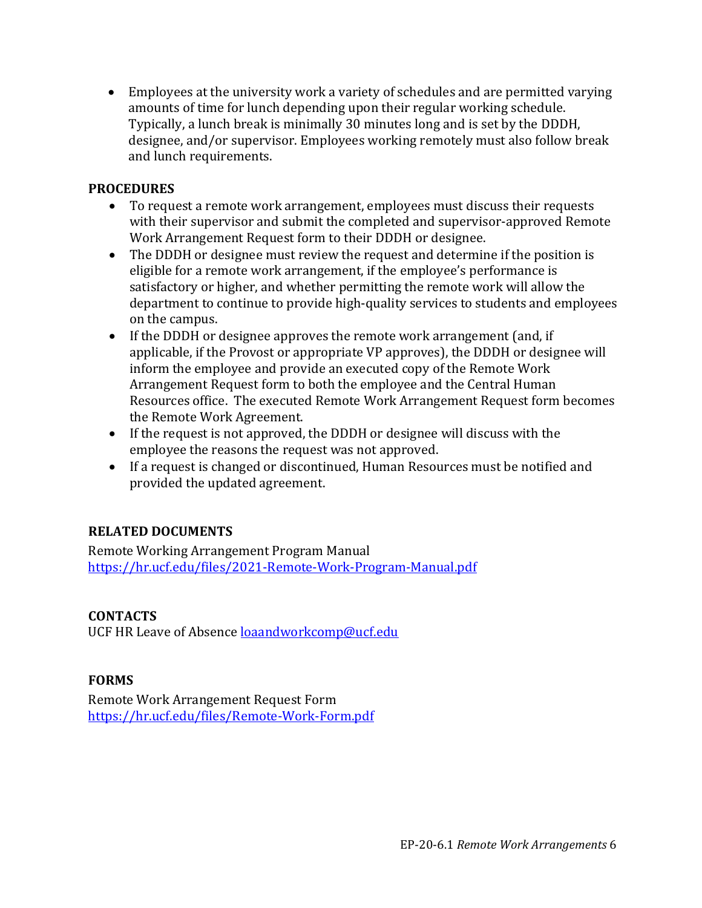• Employees at the university work a variety of schedules and are permitted varying amounts of time for lunch depending upon their regular working schedule. Typically, a lunch break is minimally 30 minutes long and is set by the DDDH, designee, and/or supervisor. Employees working remotely must also follow break and lunch requirements.

#### **PROCEDURES**

- To request a remote work arrangement, employees must discuss their requests with their supervisor and submit the completed and supervisor-approved Remote Work Arrangement Request form to their DDDH or designee.
- The DDDH or designee must review the request and determine if the position is eligible for a remote work arrangement, if the employee's performance is satisfactory or higher, and whether permitting the remote work will allow the department to continue to provide high-quality services to students and employees on the campus.
- If the DDDH or designee approves the remote work arrangement (and, if applicable, if the Provost or appropriate VP approves), the DDDH or designee will inform the employee and provide an executed copy of the Remote Work Arrangement Request form to both the employee and the Central Human Resources office. The executed Remote Work Arrangement Request form becomes the Remote Work Agreement.
- If the request is not approved, the DDDH or designee will discuss with the employee the reasons the request was not approved.
- If a request is changed or discontinued, Human Resources must be notified and provided the updated agreement.

## **RELATED DOCUMENTS**

Remote Working Arrangement Program Manual [https://hr.ucf.edu/files/2021-Remote-Work-Program-Manual.pdf](https://nam02.safelinks.protection.outlook.com/?url=https%3A%2F%2Fhr.ucf.edu%2Ffiles%2F2021-Remote-Work-Program-Manual.pdf&data=04%7C01%7CMargaret.Melli%40ucf.edu%7Cd1b136032b9b4a8f223108d91a33d574%7Cbb932f15ef3842ba91fcf3c59d5dd1f1%7C0%7C0%7C637569632184517596%7CUnknown%7CTWFpbGZsb3d8eyJWIjoiMC4wLjAwMDAiLCJQIjoiV2luMzIiLCJBTiI6Ik1haWwiLCJXVCI6Mn0%3D%7C1000&sdata=VYw573F5GZoZ7H%2Fmwv5Zl7nXC7EbAc0vm5PnZSUP7b4%3D&reserved=0)

## **CONTACTS**

UCF HR Leave of Absence [loaandworkcomp@ucf.edu](mailto:loaandworkcomp@ucf.edu)

# **FORMS**

Remote Work Arrangement Request Form [https://hr.ucf.edu/files/Remote-Work-Form.pdf](https://nam02.safelinks.protection.outlook.com/?url=https%3A%2F%2Fhr.ucf.edu%2Ffiles%2FRemote-Work-Form.pdf&data=04%7C01%7CMargaret.Melli%40ucf.edu%7Cd1b136032b9b4a8f223108d91a33d574%7Cbb932f15ef3842ba91fcf3c59d5dd1f1%7C0%7C0%7C637569632184507601%7CUnknown%7CTWFpbGZsb3d8eyJWIjoiMC4wLjAwMDAiLCJQIjoiV2luMzIiLCJBTiI6Ik1haWwiLCJXVCI6Mn0%3D%7C1000&sdata=SP%2BUnji4WLxBpBi%2Fd5%2BQXpPCs6GtLdI8wl3bZ6IW7fw%3D&reserved=0)